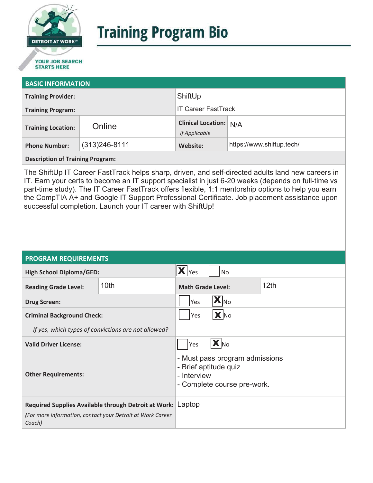

# **Training Program Bio**

## **STARTS HERE**

#### **BASIC INFORMATION**

| <b>Training Provider:</b> |                   | ShiftUp                                        |                           |  |
|---------------------------|-------------------|------------------------------------------------|---------------------------|--|
| <b>Training Program:</b>  |                   | <b>IT Career FastTrack</b>                     |                           |  |
| <b>Training Location:</b> | Online            | <b>Clinical Location:</b> N/A<br>If Applicable |                           |  |
| <b>Phone Number:</b>      | $(313)246 - 8111$ | Website:                                       | https://www.shiftup.tech/ |  |

**Description of Training Program:** 

The ShiftUp IT Career FastTrack helps sharp, driven, and self-directed adults land new careers in IT. Earn your certs to become an IT support specialist in just 6-20 weeks (depends on full-time vs part-time study). The IT Career FastTrack offers flexible, 1:1 mentorship options to help you earn the CompTIA A+ and Google IT Support Professional Certificate. Job placement assistance upon successful completion. Launch your IT career with ShiftUp!

#### **PROGRAM REQUIREMENTS**

| <b>High School Diploma/GED:</b>                                      |      | Yes<br><b>No</b>                                                                                      |  |  |
|----------------------------------------------------------------------|------|-------------------------------------------------------------------------------------------------------|--|--|
| <b>Reading Grade Level:</b>                                          | 10th | 12 <sub>th</sub><br><b>Math Grade Level:</b>                                                          |  |  |
| <b>Drug Screen:</b>                                                  |      | $\mathbf{X} _{\mathsf{No}}$<br>Yes                                                                    |  |  |
| <b>Criminal Background Check:</b>                                    |      | X No<br>Yes                                                                                           |  |  |
| If yes, which types of convictions are not allowed?                  |      |                                                                                                       |  |  |
| <b>Valid Driver License:</b>                                         |      | $\mathbf{X}$ No<br>Yes                                                                                |  |  |
| <b>Other Requirements:</b>                                           |      | - Must pass program admissions<br>- Brief aptitude quiz<br>- Interview<br>- Complete course pre-work. |  |  |
| Required Supplies Available through Detroit at Work: Laptop          |      |                                                                                                       |  |  |
| (For more information, contact your Detroit at Work Career<br>Coach) |      |                                                                                                       |  |  |